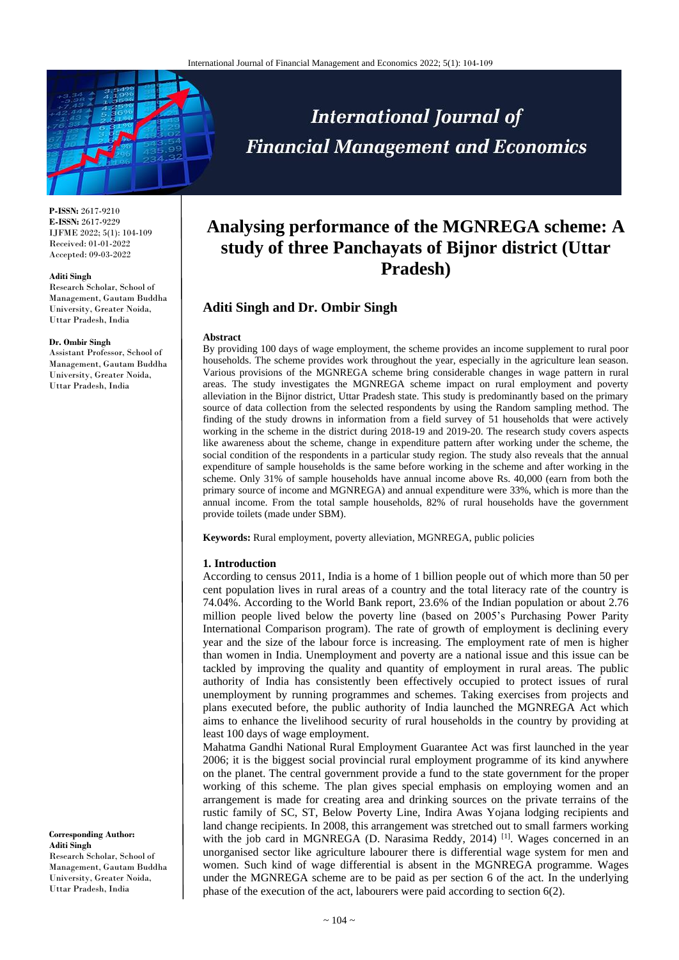

**P-ISSN:** 2617-9210 **E-ISSN:** 2617-9229 IJFME 2022; 5(1): 104-109 Received: 01-01-2022 Accepted: 09-03-2022

#### **Aditi Singh**

Research Scholar, School of Management, Gautam Buddha University, Greater Noida, Uttar Pradesh, India

#### **Dr. Ombir Singh**

Assistant Professor, School of Management, Gautam Buddha University, Greater Noida, Uttar Pradesh, India

#### **Corresponding Author: Aditi Singh** Research Scholar, School of Management, Gautam Buddha University, Greater Noida, Uttar Pradesh, India

# **Analysing performance of the MGNREGA scheme: A study of three Panchayats of Bijnor district (Uttar Pradesh)**

**International Journal of** 

**Financial Management and Economics** 

# **Aditi Singh and Dr. Ombir Singh**

#### **Abstract**

By providing 100 days of wage employment, the scheme provides an income supplement to rural poor households. The scheme provides work throughout the year, especially in the agriculture lean season. Various provisions of the MGNREGA scheme bring considerable changes in wage pattern in rural areas. The study investigates the MGNREGA scheme impact on rural employment and poverty alleviation in the Bijnor district, Uttar Pradesh state. This study is predominantly based on the primary source of data collection from the selected respondents by using the Random sampling method. The finding of the study drowns in information from a field survey of 51 households that were actively working in the scheme in the district during 2018-19 and 2019-20. The research study covers aspects like awareness about the scheme, change in expenditure pattern after working under the scheme, the social condition of the respondents in a particular study region. The study also reveals that the annual expenditure of sample households is the same before working in the scheme and after working in the scheme. Only 31% of sample households have annual income above Rs. 40,000 (earn from both the primary source of income and MGNREGA) and annual expenditure were 33%, which is more than the annual income. From the total sample households, 82% of rural households have the government provide toilets (made under SBM).

**Keywords:** Rural employment, poverty alleviation, MGNREGA, public policies

## **1. Introduction**

According to census 2011, India is a home of 1 billion people out of which more than 50 per cent population lives in rural areas of a country and the total literacy rate of the country is 74.04%. According to the World Bank report, 23.6% of the Indian population or about 2.76 million people lived below the poverty line (based on 2005's Purchasing Power Parity International Comparison program). The rate of growth of employment is declining every year and the size of the labour force is increasing. The employment rate of men is higher than women in India. Unemployment and poverty are a national issue and this issue can be tackled by improving the quality and quantity of employment in rural areas. The public authority of India has consistently been effectively occupied to protect issues of rural unemployment by running programmes and schemes. Taking exercises from projects and plans executed before, the public authority of India launched the MGNREGA Act which aims to enhance the livelihood security of rural households in the country by providing at least 100 days of wage employment.

Mahatma Gandhi National Rural Employment Guarantee Act was first launched in the year 2006; it is the biggest social provincial rural employment programme of its kind anywhere on the planet. The central government provide a fund to the state government for the proper working of this scheme. The plan gives special emphasis on employing women and an arrangement is made for creating area and drinking sources on the private terrains of the rustic family of SC, ST, Below Poverty Line, Indira Awas Yojana lodging recipients and land change recipients. In 2008, this arrangement was stretched out to small farmers working with the job card in MGNREGA (D. Narasima Reddy, 2014)<sup>[1]</sup>. Wages concerned in an unorganised sector like agriculture labourer there is differential wage system for men and women. Such kind of wage differential is absent in the MGNREGA programme. Wages under the MGNREGA scheme are to be paid as per section 6 of the act. In the underlying phase of the execution of the act, labourers were paid according to section 6(2).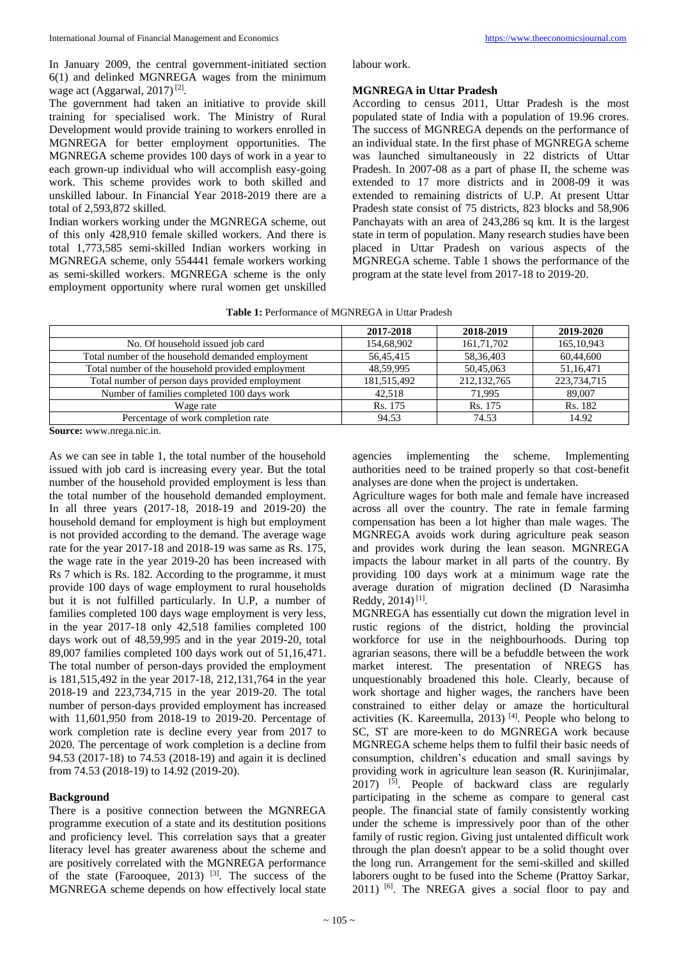In January 2009, the central government-initiated section 6(1) and delinked MGNREGA wages from the minimum wage act (Aggarwal, 2017)<sup>[2]</sup>.

The government had taken an initiative to provide skill training for specialised work. The Ministry of Rural Development would provide training to workers enrolled in MGNREGA for better employment opportunities. The MGNREGA scheme provides 100 days of work in a year to each grown-up individual who will accomplish easy-going work. This scheme provides work to both skilled and unskilled labour. In Financial Year 2018-2019 there are a total of 2,593,872 skilled.

Indian workers working under the MGNREGA scheme, out of this only 428,910 female skilled workers. And there is total 1,773,585 semi-skilled Indian workers working in MGNREGA scheme, only 554441 female workers working as semi-skilled workers. MGNREGA scheme is the only employment opportunity where rural women get unskilled labour work.

## **MGNREGA in Uttar Pradesh**

According to census 2011, Uttar Pradesh is the most populated state of India with a population of 19.96 crores. The success of MGNREGA depends on the performance of an individual state. In the first phase of MGNREGA scheme was launched simultaneously in 22 districts of Uttar Pradesh. In 2007-08 as a part of phase II, the scheme was extended to 17 more districts and in 2008-09 it was extended to remaining districts of U.P. At present Uttar Pradesh state consist of 75 districts, 823 blocks and 58,906 Panchayats with an area of 243,286 sq km. It is the largest state in term of population. Many research studies have been placed in Uttar Pradesh on various aspects of the MGNREGA scheme. Table 1 shows the performance of the program at the state level from 2017-18 to 2019-20.

|                                                   | 2017-2018   | 2018-2019     | 2019-2020    |
|---------------------------------------------------|-------------|---------------|--------------|
| No. Of household issued job card                  | 154,68,902  | 161,71,702    | 165, 10, 943 |
| Total number of the household demanded employment | 56,45,415   | 58, 36, 403   | 60,44,600    |
| Total number of the household provided employment | 48,59,995   | 50,45,063     | 51,16,471    |
| Total number of person days provided employment   | 181,515,492 | 212, 132, 765 | 223,734,715  |
| Number of families completed 100 days work        | 42,518      | 71,995        | 89,007       |
| Wage rate                                         | Rs. 175     | Rs. 175       | Rs. 182      |
| Percentage of work completion rate                | 94.53       | 74.53         | 14.92        |

**Source:** www.nrega.nic.in.

As we can see in table 1, the total number of the household issued with job card is increasing every year. But the total number of the household provided employment is less than the total number of the household demanded employment. In all three years (2017-18, 2018-19 and 2019-20) the household demand for employment is high but employment is not provided according to the demand. The average wage rate for the year 2017-18 and 2018-19 was same as Rs. 175, the wage rate in the year 2019-20 has been increased with Rs 7 which is Rs. 182. According to the programme, it must provide 100 days of wage employment to rural households but it is not fulfilled particularly. In U.P, a number of families completed 100 days wage employment is very less, in the year 2017-18 only 42,518 families completed 100 days work out of 48,59,995 and in the year 2019-20, total 89,007 families completed 100 days work out of 51,16,471. The total number of person-days provided the employment is 181,515,492 in the year 2017-18, 212,131,764 in the year 2018-19 and 223,734,715 in the year 2019-20. The total number of person-days provided employment has increased with 11,601,950 from 2018-19 to 2019-20. Percentage of work completion rate is decline every year from 2017 to 2020. The percentage of work completion is a decline from 94.53 (2017-18) to 74.53 (2018-19) and again it is declined from 74.53 (2018-19) to 14.92 (2019-20).

## **Background**

There is a positive connection between the MGNREGA programme execution of a state and its destitution positions and proficiency level. This correlation says that a greater literacy level has greater awareness about the scheme and are positively correlated with the MGNREGA performance of the state (Farooquee, 2013)  $[3]$ . The success of the MGNREGA scheme depends on how effectively local state

agencies implementing the scheme. Implementing authorities need to be trained properly so that cost-benefit analyses are done when the project is undertaken.

Agriculture wages for both male and female have increased across all over the country. The rate in female farming compensation has been a lot higher than male wages. The MGNREGA avoids work during agriculture peak season and provides work during the lean season. MGNREGA impacts the labour market in all parts of the country. By providing 100 days work at a minimum wage rate the average duration of migration declined (D Narasimha Reddy,  $2014$ )<sup>[1]</sup>.

MGNREGA has essentially cut down the migration level in rustic regions of the district, holding the provincial workforce for use in the neighbourhoods. During top agrarian seasons, there will be a befuddle between the work market interest. The presentation of NREGS has unquestionably broadened this hole. Clearly, because of work shortage and higher wages, the ranchers have been constrained to either delay or amaze the horticultural activities (K. Kareemulla, 2013)<sup>[4]</sup>. People who belong to SC, ST are more-keen to do MGNREGA work because MGNREGA scheme helps them to fulfil their basic needs of consumption, children's education and small savings by providing work in agriculture lean season (R. Kurinjimalar,  $2017$ ) <sup>[5]</sup>. People of backward class are regularly participating in the scheme as compare to general cast people. The financial state of family consistently working under the scheme is impressively poor than of the other family of rustic region. Giving just untalented difficult work through the plan doesn't appear to be a solid thought over the long run. Arrangement for the semi-skilled and skilled laborers ought to be fused into the Scheme (Prattoy Sarkar, 2011) [6] . The NREGA gives a social floor to pay and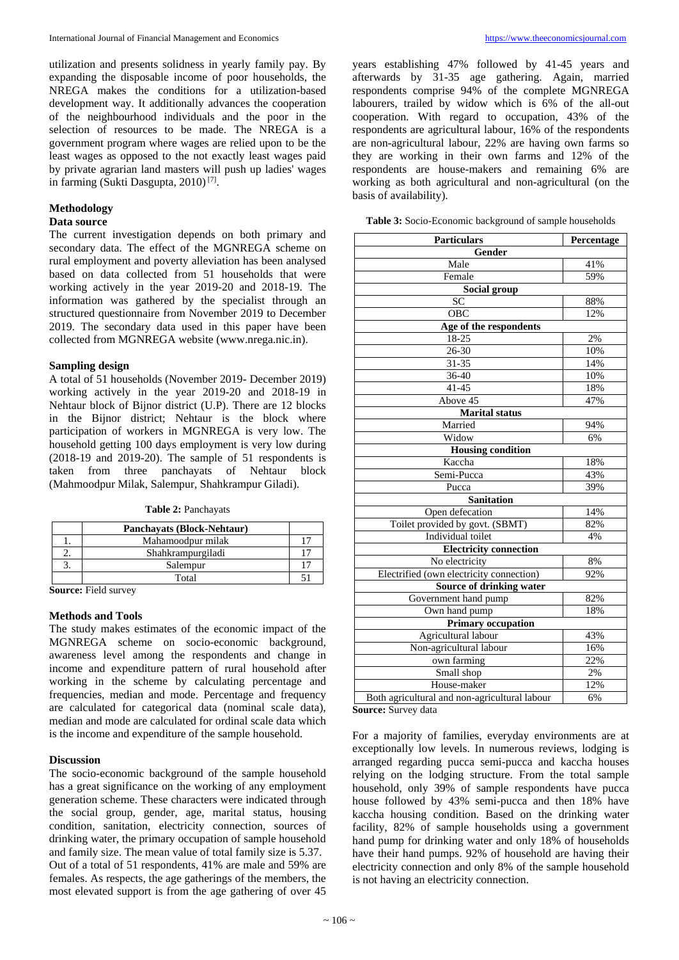utilization and presents solidness in yearly family pay. By expanding the disposable income of poor households, the NREGA makes the conditions for a utilization-based development way. It additionally advances the cooperation of the neighbourhood individuals and the poor in the selection of resources to be made. The NREGA is a government program where wages are relied upon to be the least wages as opposed to the not exactly least wages paid by private agrarian land masters will push up ladies' wages in farming (Sukti Dasgupta, 2010) [7] .

# **Methodology**

# **Data source**

The current investigation depends on both primary and secondary data. The effect of the MGNREGA scheme on rural employment and poverty alleviation has been analysed based on data collected from 51 households that were working actively in the year 2019-20 and 2018-19. The information was gathered by the specialist through an structured questionnaire from November 2019 to December 2019. The secondary data used in this paper have been collected from MGNREGA website (www.nrega.nic.in).

## **Sampling design**

A total of 51 households (November 2019- December 2019) working actively in the year 2019-20 and 2018-19 in Nehtaur block of Bijnor district (U.P). There are 12 blocks in the Bijnor district; Nehtaur is the block where participation of workers in MGNREGA is very low. The household getting 100 days employment is very low during (2018-19 and 2019-20). The sample of 51 respondents is taken from three panchayats of Nehtaur block (Mahmoodpur Milak, Salempur, Shahkrampur Giladi).

| <b>Panchavats (Block-Nehtaur)</b> |  |
|-----------------------------------|--|
| Mahamoodpur milak                 |  |
| Shahkrampurgiladi                 |  |
| Salempur                          |  |
| Total                             |  |

**Source:** Field survey

## **Methods and Tools**

The study makes estimates of the economic impact of the MGNREGA scheme on socio-economic background, awareness level among the respondents and change in income and expenditure pattern of rural household after working in the scheme by calculating percentage and frequencies, median and mode. Percentage and frequency are calculated for categorical data (nominal scale data), median and mode are calculated for ordinal scale data which is the income and expenditure of the sample household.

## **Discussion**

The socio-economic background of the sample household has a great significance on the working of any employment generation scheme. These characters were indicated through the social group, gender, age, marital status, housing condition, sanitation, electricity connection, sources of drinking water, the primary occupation of sample household and family size. The mean value of total family size is 5.37. Out of a total of 51 respondents, 41% are male and 59% are females. As respects, the age gatherings of the members, the most elevated support is from the age gathering of over 45

years establishing 47% followed by 41-45 years and afterwards by 31-35 age gathering. Again, married respondents comprise 94% of the complete MGNREGA labourers, trailed by widow which is 6% of the all-out cooperation. With regard to occupation, 43% of the respondents are agricultural labour, 16% of the respondents are non-agricultural labour, 22% are having own farms so they are working in their own farms and 12% of the respondents are house-makers and remaining 6% are working as both agricultural and non-agricultural (on the basis of availability).

**Table 3:** Socio-Economic background of sample households

| <b>Particulars</b>                            | Percentage |  |  |  |
|-----------------------------------------------|------------|--|--|--|
| Gender                                        |            |  |  |  |
| Male                                          | 41%        |  |  |  |
| Female                                        | 59%        |  |  |  |
| Social group                                  |            |  |  |  |
| $\overline{SC}$                               | 88%        |  |  |  |
| OBC                                           | 12%        |  |  |  |
| Age of the respondents                        |            |  |  |  |
| 18-25                                         | 2%         |  |  |  |
| $26 - 30$                                     | 10%        |  |  |  |
| 31-35                                         | 14%        |  |  |  |
| 36-40                                         | 10%        |  |  |  |
| $41 - 45$                                     | 18%        |  |  |  |
| Above $4\overline{5}$                         | 47%        |  |  |  |
| <b>Marital</b> status                         |            |  |  |  |
| Married                                       | 94%        |  |  |  |
| Widow                                         | 6%         |  |  |  |
| <b>Housing condition</b>                      |            |  |  |  |
| Kaccha                                        | 18%        |  |  |  |
| Semi-Pucca                                    | 43%        |  |  |  |
| Pucca                                         | 39%        |  |  |  |
| <b>Sanitation</b>                             |            |  |  |  |
| Open defecation                               | 14%        |  |  |  |
| Toilet provided by govt. (SBMT)               | 82%        |  |  |  |
| Individual toilet                             | 4%         |  |  |  |
| <b>Electricity connection</b>                 |            |  |  |  |
| No electricity                                | 8%         |  |  |  |
| Electrified (own electricity connection)      | 92%        |  |  |  |
| Source of drinking water                      |            |  |  |  |
| Government hand pump                          | 82%        |  |  |  |
| Own hand pump                                 | 18%        |  |  |  |
| <b>Primary occupation</b>                     |            |  |  |  |
| Agricultural labour                           | 43%        |  |  |  |
| Non-agricultural labour                       | 16%        |  |  |  |
| own farming                                   | 22%        |  |  |  |
| Small shop                                    | 2%         |  |  |  |
| House-maker                                   | 12%        |  |  |  |
| Both agricultural and non-agricultural labour | 6%         |  |  |  |

**Source:** Survey data

For a majority of families, everyday environments are at exceptionally low levels. In numerous reviews, lodging is arranged regarding pucca semi-pucca and kaccha houses relying on the lodging structure. From the total sample household, only 39% of sample respondents have pucca house followed by 43% semi-pucca and then 18% have kaccha housing condition. Based on the drinking water facility, 82% of sample households using a government hand pump for drinking water and only 18% of households have their hand pumps. 92% of household are having their electricity connection and only 8% of the sample household is not having an electricity connection.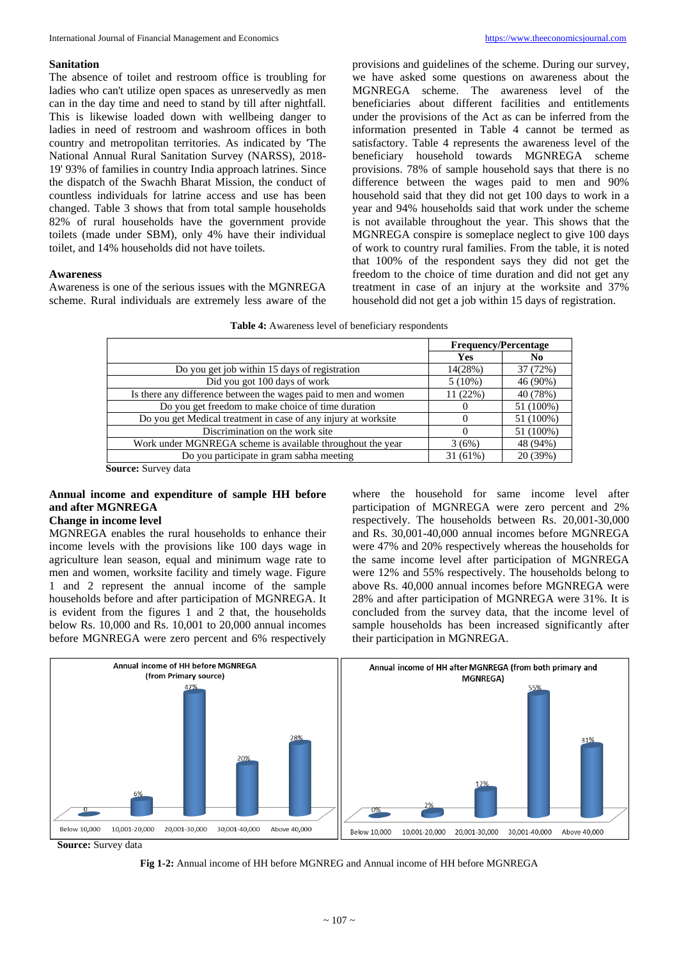## **Sanitation**

The absence of toilet and restroom office is troubling for ladies who can't utilize open spaces as unreservedly as men can in the day time and need to stand by till after nightfall. This is likewise loaded down with wellbeing danger to ladies in need of restroom and washroom offices in both country and metropolitan territories. As indicated by 'The National Annual Rural Sanitation Survey (NARSS), 2018- 19' 93% of families in country India approach latrines. Since the dispatch of the Swachh Bharat Mission, the conduct of countless individuals for latrine access and use has been changed. Table 3 shows that from total sample households 82% of rural households have the government provide toilets (made under SBM), only 4% have their individual toilet, and 14% households did not have toilets.

#### **Awareness**

Awareness is one of the serious issues with the MGNREGA scheme. Rural individuals are extremely less aware of the

provisions and guidelines of the scheme. During our survey, we have asked some questions on awareness about the MGNREGA scheme. The awareness level of the beneficiaries about different facilities and entitlements under the provisions of the Act as can be inferred from the information presented in Table 4 cannot be termed as satisfactory. Table 4 represents the awareness level of the beneficiary household towards MGNREGA scheme provisions. 78% of sample household says that there is no difference between the wages paid to men and 90% household said that they did not get 100 days to work in a year and 94% households said that work under the scheme is not available throughout the year. This shows that the MGNREGA conspire is someplace neglect to give 100 days of work to country rural families. From the table, it is noted that 100% of the respondent says they did not get the freedom to the choice of time duration and did not get any treatment in case of an injury at the worksite and 37% household did not get a job within 15 days of registration.

| Table 4: Awareness level of beneficiary respondents |  |  |  |  |  |  |
|-----------------------------------------------------|--|--|--|--|--|--|
|-----------------------------------------------------|--|--|--|--|--|--|

|                                                                 | <b>Frequency/Percentage</b> |           |  |
|-----------------------------------------------------------------|-----------------------------|-----------|--|
|                                                                 | Yes                         | No.       |  |
| Do you get job within 15 days of registration                   | 14(28%)                     | 37 (72%)  |  |
| Did you got 100 days of work                                    | $5(10\%)$                   | 46 (90%)  |  |
| Is there any difference between the wages paid to men and women | 11(22%)                     | 40 (78%)  |  |
| Do you get freedom to make choice of time duration              |                             | 51 (100%) |  |
| Do you get Medical treatment in case of any injury at worksite  |                             | 51 (100%) |  |
| Discrimination on the work site                                 | $_{0}$                      | 51 (100%) |  |
| Work under MGNREGA scheme is available throughout the year      | 3(6%)                       | 48 (94%)  |  |
| Do you participate in gram sabha meeting                        | 31 (61%)                    | 20 (39%)  |  |

**Source:** Survey data

# **Annual income and expenditure of sample HH before and after MGNREGA**

# **Change in income level**

MGNREGA enables the rural households to enhance their income levels with the provisions like 100 days wage in agriculture lean season, equal and minimum wage rate to men and women, worksite facility and timely wage. Figure 1 and 2 represent the annual income of the sample households before and after participation of MGNREGA. It is evident from the figures 1 and 2 that, the households below Rs. 10,000 and Rs. 10,001 to 20,000 annual incomes before MGNREGA were zero percent and 6% respectively

where the household for same income level after participation of MGNREGA were zero percent and 2% respectively. The households between Rs. 20,001-30,000 and Rs. 30,001-40,000 annual incomes before MGNREGA were 47% and 20% respectively whereas the households for the same income level after participation of MGNREGA were 12% and 55% respectively. The households belong to above Rs. 40,000 annual incomes before MGNREGA were 28% and after participation of MGNREGA were 31%. It is concluded from the survey data, that the income level of sample households has been increased significantly after their participation in MGNREGA.



**Source:** Survey data

**Fig 1-2:** Annual income of HH before MGNREG and Annual income of HH before MGNREGA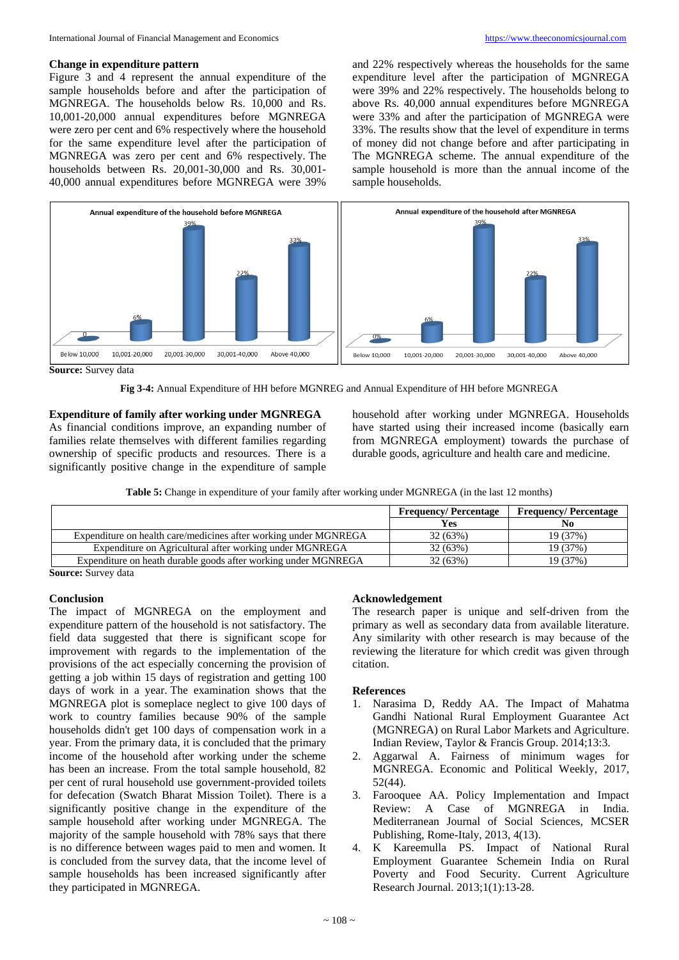#### **Change in expenditure pattern**

Figure 3 and 4 represent the annual expenditure of the sample households before and after the participation of MGNREGA. The households below Rs. 10,000 and Rs. 10,001-20,000 annual expenditures before MGNREGA were zero per cent and 6% respectively where the household for the same expenditure level after the participation of MGNREGA was zero per cent and 6% respectively. The households between Rs. 20,001-30,000 and Rs. 30,001- 40,000 annual expenditures before MGNREGA were 39%

and 22% respectively whereas the households for the same expenditure level after the participation of MGNREGA were 39% and 22% respectively. The households belong to above Rs. 40,000 annual expenditures before MGNREGA were 33% and after the participation of MGNREGA were 33%. The results show that the level of expenditure in terms of money did not change before and after participating in The MGNREGA scheme. The annual expenditure of the sample household is more than the annual income of the sample households.



**Source:** Survey data

**Fig 3-4:** Annual Expenditure of HH before MGNREG and Annual Expenditure of HH before MGNREGA

## **Expenditure of family after working under MGNREGA**

As financial conditions improve, an expanding number of families relate themselves with different families regarding ownership of specific products and resources. There is a significantly positive change in the expenditure of sample household after working under MGNREGA. Households have started using their increased income (basically earn from MGNREGA employment) towards the purchase of durable goods, agriculture and health care and medicine.

**Table 5:** Change in expenditure of your family after working under MGNREGA (in the last 12 months)

|                                                                  | <b>Frequency/Percentage</b> | <b>Frequency/Percentage</b> |
|------------------------------------------------------------------|-----------------------------|-----------------------------|
|                                                                  | Yes                         | No                          |
| Expenditure on health care/medicines after working under MGNREGA | 32 (63%)                    | 19(37%)                     |
| Expenditure on Agricultural after working under MGNREGA          | 32 (63%)                    | 19(37%)                     |
| Expenditure on heath durable goods after working under MGNREGA   | 32 (63%)                    | 19 (37%)                    |

**Source:** Survey data

# **Conclusion**

The impact of MGNREGA on the employment and expenditure pattern of the household is not satisfactory. The field data suggested that there is significant scope for improvement with regards to the implementation of the provisions of the act especially concerning the provision of getting a job within 15 days of registration and getting 100 days of work in a year. The examination shows that the MGNREGA plot is someplace neglect to give 100 days of work to country families because 90% of the sample households didn't get 100 days of compensation work in a year. From the primary data, it is concluded that the primary income of the household after working under the scheme has been an increase. From the total sample household, 82 per cent of rural household use government-provided toilets for defecation (Swatch Bharat Mission Toilet). There is a significantly positive change in the expenditure of the sample household after working under MGNREGA. The majority of the sample household with 78% says that there is no difference between wages paid to men and women. It is concluded from the survey data, that the income level of sample households has been increased significantly after they participated in MGNREGA.

## **Acknowledgement**

The research paper is unique and self-driven from the primary as well as secondary data from available literature. Any similarity with other research is may because of the reviewing the literature for which credit was given through citation.

#### **References**

- 1. Narasima D, Reddy AA. The Impact of Mahatma Gandhi National Rural Employment Guarantee Act (MGNREGA) on Rural Labor Markets and Agriculture. Indian Review, Taylor & Francis Group. 2014;13:3.
- 2. Aggarwal A. Fairness of minimum wages for MGNREGA. Economic and Political Weekly, 2017, 52(44).
- 3. Farooquee AA. Policy Implementation and Impact Review: A Case of MGNREGA in India. Mediterranean Journal of Social Sciences, MCSER Publishing, Rome-Italy, 2013, 4(13).
- 4. K Kareemulla PS. Impact of National Rural Employment Guarantee Schemein India on Rural Poverty and Food Security. Current Agriculture Research Journal. 2013;1(1):13-28.